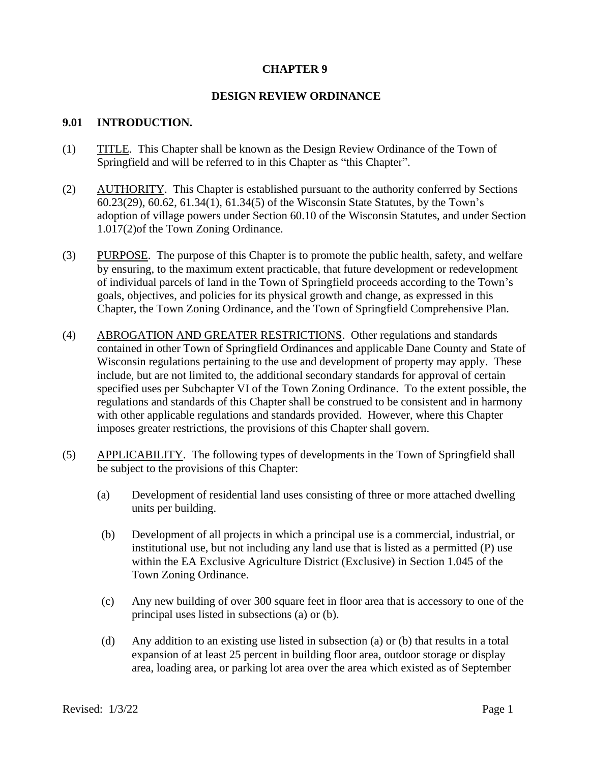## **CHAPTER 9**

### **DESIGN REVIEW ORDINANCE**

#### **9.01 INTRODUCTION.**

- (1) TITLE. This Chapter shall be known as the Design Review Ordinance of the Town of Springfield and will be referred to in this Chapter as "this Chapter".
- (2) AUTHORITY. This Chapter is established pursuant to the authority conferred by Sections 60.23(29), 60.62, 61.34(1), 61.34(5) of the Wisconsin State Statutes, by the Town's adoption of village powers under Section 60.10 of the Wisconsin Statutes, and under Section 1.017(2)of the Town Zoning Ordinance.
- (3) PURPOSE. The purpose of this Chapter is to promote the public health, safety, and welfare by ensuring, to the maximum extent practicable, that future development or redevelopment of individual parcels of land in the Town of Springfield proceeds according to the Town's goals, objectives, and policies for its physical growth and change, as expressed in this Chapter, the Town Zoning Ordinance, and the Town of Springfield Comprehensive Plan.
- (4) ABROGATION AND GREATER RESTRICTIONS. Other regulations and standards contained in other Town of Springfield Ordinances and applicable Dane County and State of Wisconsin regulations pertaining to the use and development of property may apply. These include, but are not limited to, the additional secondary standards for approval of certain specified uses per Subchapter VI of the Town Zoning Ordinance. To the extent possible, the regulations and standards of this Chapter shall be construed to be consistent and in harmony with other applicable regulations and standards provided. However, where this Chapter imposes greater restrictions, the provisions of this Chapter shall govern.
- (5) APPLICABILITY. The following types of developments in the Town of Springfield shall be subject to the provisions of this Chapter:
	- (a) Development of residential land uses consisting of three or more attached dwelling units per building.
	- (b) Development of all projects in which a principal use is a commercial, industrial, or institutional use, but not including any land use that is listed as a permitted (P) use within the EA Exclusive Agriculture District (Exclusive) in Section 1.045 of the Town Zoning Ordinance.
	- (c) Any new building of over 300 square feet in floor area that is accessory to one of the principal uses listed in subsections (a) or (b).
	- (d) Any addition to an existing use listed in subsection (a) or (b) that results in a total expansion of at least 25 percent in building floor area, outdoor storage or display area, loading area, or parking lot area over the area which existed as of September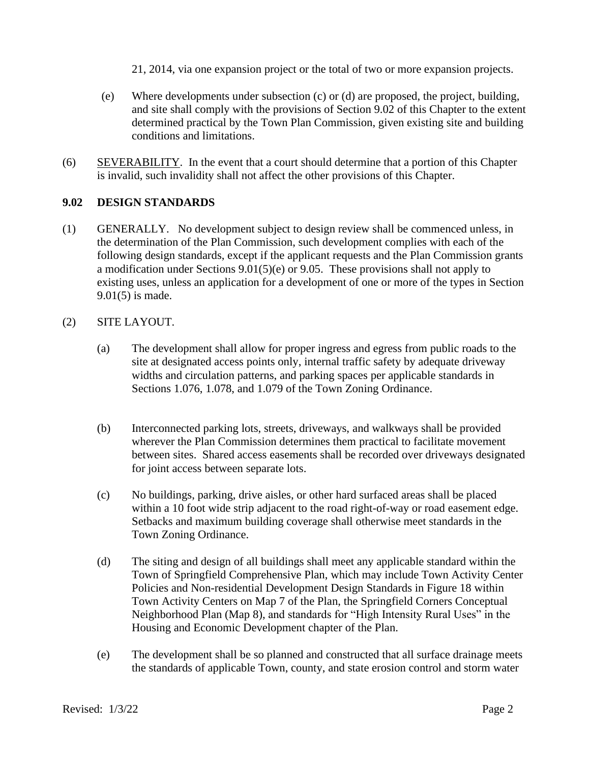- 21, 2014, via one expansion project or the total of two or more expansion projects.
- (e) Where developments under subsection (c) or (d) are proposed, the project, building, and site shall comply with the provisions of Section 9.02 of this Chapter to the extent determined practical by the Town Plan Commission, given existing site and building conditions and limitations.
- (6) SEVERABILITY. In the event that a court should determine that a portion of this Chapter is invalid, such invalidity shall not affect the other provisions of this Chapter.

# **9.02 DESIGN STANDARDS**

(1) GENERALLY. No development subject to design review shall be commenced unless, in the determination of the Plan Commission, such development complies with each of the following design standards, except if the applicant requests and the Plan Commission grants a modification under Sections 9.01(5)(e) or 9.05. These provisions shall not apply to existing uses, unless an application for a development of one or more of the types in Section 9.01(5) is made.

## (2) SITE LAYOUT.

- (a) The development shall allow for proper ingress and egress from public roads to the site at designated access points only, internal traffic safety by adequate driveway widths and circulation patterns, and parking spaces per applicable standards in Sections 1.076, 1.078, and 1.079 of the Town Zoning Ordinance.
- (b) Interconnected parking lots, streets, driveways, and walkways shall be provided wherever the Plan Commission determines them practical to facilitate movement between sites. Shared access easements shall be recorded over driveways designated for joint access between separate lots.
- (c) No buildings, parking, drive aisles, or other hard surfaced areas shall be placed within a 10 foot wide strip adjacent to the road right-of-way or road easement edge. Setbacks and maximum building coverage shall otherwise meet standards in the Town Zoning Ordinance.
- (d) The siting and design of all buildings shall meet any applicable standard within the Town of Springfield Comprehensive Plan, which may include Town Activity Center Policies and Non-residential Development Design Standards in Figure 18 within Town Activity Centers on Map 7 of the Plan, the Springfield Corners Conceptual Neighborhood Plan (Map 8), and standards for "High Intensity Rural Uses" in the Housing and Economic Development chapter of the Plan.
- (e) The development shall be so planned and constructed that all surface drainage meets the standards of applicable Town, county, and state erosion control and storm water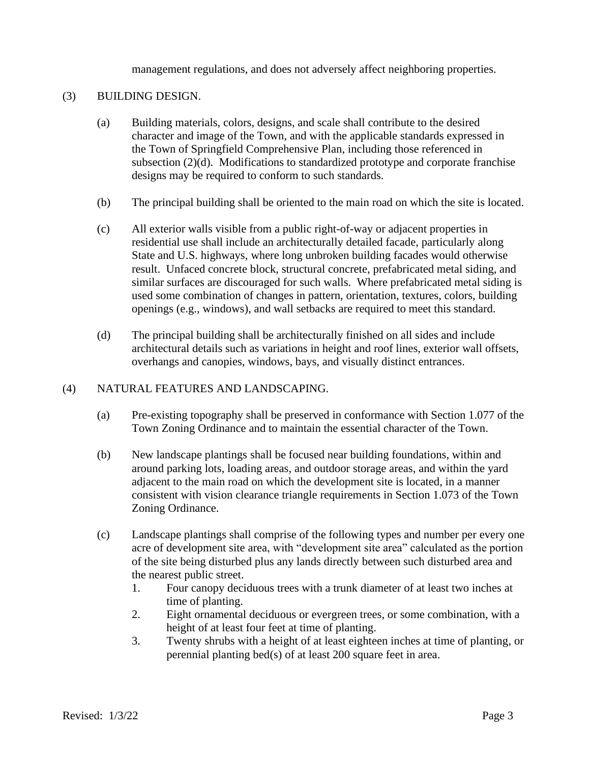management regulations, and does not adversely affect neighboring properties.

#### (3) BUILDING DESIGN.

- (a) Building materials, colors, designs, and scale shall contribute to the desired character and image of the Town, and with the applicable standards expressed in the Town of Springfield Comprehensive Plan, including those referenced in subsection (2)(d). Modifications to standardized prototype and corporate franchise designs may be required to conform to such standards.
- (b) The principal building shall be oriented to the main road on which the site is located.
- (c) All exterior walls visible from a public right-of-way or adjacent properties in residential use shall include an architecturally detailed facade, particularly along State and U.S. highways, where long unbroken building facades would otherwise result. Unfaced concrete block, structural concrete, prefabricated metal siding, and similar surfaces are discouraged for such walls. Where prefabricated metal siding is used some combination of changes in pattern, orientation, textures, colors, building openings (e.g., windows), and wall setbacks are required to meet this standard.
- (d) The principal building shall be architecturally finished on all sides and include architectural details such as variations in height and roof lines, exterior wall offsets, overhangs and canopies, windows, bays, and visually distinct entrances.

#### (4) NATURAL FEATURES AND LANDSCAPING.

- (a) Pre-existing topography shall be preserved in conformance with Section 1.077 of the Town Zoning Ordinance and to maintain the essential character of the Town.
- (b) New landscape plantings shall be focused near building foundations, within and around parking lots, loading areas, and outdoor storage areas, and within the yard adjacent to the main road on which the development site is located, in a manner consistent with vision clearance triangle requirements in Section 1.073 of the Town Zoning Ordinance.
- (c) Landscape plantings shall comprise of the following types and number per every one acre of development site area, with "development site area" calculated as the portion of the site being disturbed plus any lands directly between such disturbed area and the nearest public street.
	- 1. Four canopy deciduous trees with a trunk diameter of at least two inches at time of planting.
	- 2. Eight ornamental deciduous or evergreen trees, or some combination, with a height of at least four feet at time of planting.
	- 3. Twenty shrubs with a height of at least eighteen inches at time of planting, or perennial planting bed(s) of at least 200 square feet in area.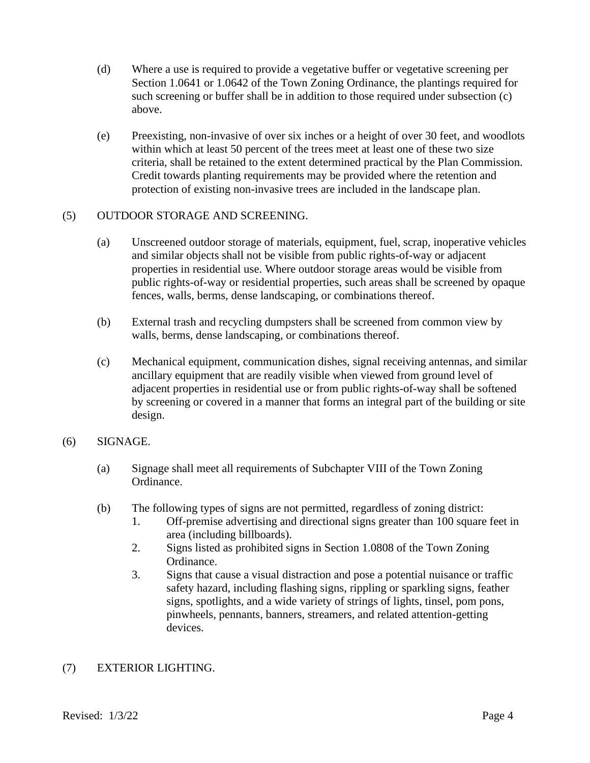- (d) Where a use is required to provide a vegetative buffer or vegetative screening per Section 1.0641 or 1.0642 of the Town Zoning Ordinance, the plantings required for such screening or buffer shall be in addition to those required under subsection (c) above.
- (e) Preexisting, non-invasive of over six inches or a height of over 30 feet, and woodlots within which at least 50 percent of the trees meet at least one of these two size criteria, shall be retained to the extent determined practical by the Plan Commission. Credit towards planting requirements may be provided where the retention and protection of existing non-invasive trees are included in the landscape plan.

## (5) OUTDOOR STORAGE AND SCREENING.

- (a) Unscreened outdoor storage of materials, equipment, fuel, scrap, inoperative vehicles and similar objects shall not be visible from public rights-of-way or adjacent properties in residential use. Where outdoor storage areas would be visible from public rights-of-way or residential properties, such areas shall be screened by opaque fences, walls, berms, dense landscaping, or combinations thereof.
- (b) External trash and recycling dumpsters shall be screened from common view by walls, berms, dense landscaping, or combinations thereof.
- (c) Mechanical equipment, communication dishes, signal receiving antennas, and similar ancillary equipment that are readily visible when viewed from ground level of adjacent properties in residential use or from public rights-of-way shall be softened by screening or covered in a manner that forms an integral part of the building or site design.

#### (6) SIGNAGE.

- (a) Signage shall meet all requirements of Subchapter VIII of the Town Zoning Ordinance.
- (b) The following types of signs are not permitted, regardless of zoning district:
	- 1. Off-premise advertising and directional signs greater than 100 square feet in area (including billboards).
	- 2. Signs listed as prohibited signs in Section 1.0808 of the Town Zoning Ordinance.
	- 3. Signs that cause a visual distraction and pose a potential nuisance or traffic safety hazard, including flashing signs, rippling or sparkling signs, feather signs, spotlights, and a wide variety of strings of lights, tinsel, pom pons, pinwheels, pennants, banners, streamers, and related attention-getting devices.

# (7) EXTERIOR LIGHTING.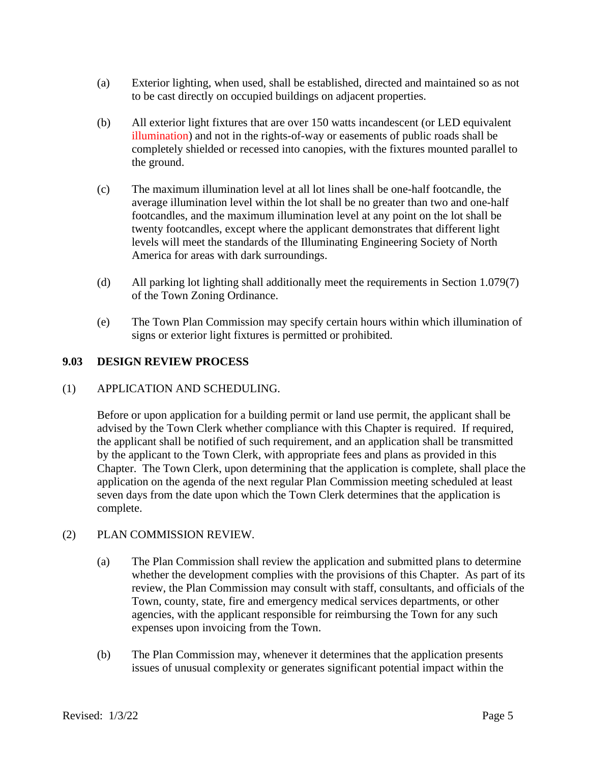- (a) Exterior lighting, when used, shall be established, directed and maintained so as not to be cast directly on occupied buildings on adjacent properties.
- (b) All exterior light fixtures that are over 150 watts incandescent (or LED equivalent illumination) and not in the rights-of-way or easements of public roads shall be completely shielded or recessed into canopies, with the fixtures mounted parallel to the ground.
- (c) The maximum illumination level at all lot lines shall be one-half footcandle, the average illumination level within the lot shall be no greater than two and one-half footcandles, and the maximum illumination level at any point on the lot shall be twenty footcandles, except where the applicant demonstrates that different light levels will meet the standards of the Illuminating Engineering Society of North America for areas with dark surroundings.
- (d) All parking lot lighting shall additionally meet the requirements in Section 1.079(7) of the Town Zoning Ordinance.
- (e) The Town Plan Commission may specify certain hours within which illumination of signs or exterior light fixtures is permitted or prohibited.

## **9.03 DESIGN REVIEW PROCESS**

#### (1) APPLICATION AND SCHEDULING.

Before or upon application for a building permit or land use permit, the applicant shall be advised by the Town Clerk whether compliance with this Chapter is required. If required, the applicant shall be notified of such requirement, and an application shall be transmitted by the applicant to the Town Clerk, with appropriate fees and plans as provided in this Chapter. The Town Clerk, upon determining that the application is complete, shall place the application on the agenda of the next regular Plan Commission meeting scheduled at least seven days from the date upon which the Town Clerk determines that the application is complete.

#### (2) PLAN COMMISSION REVIEW.

- (a) The Plan Commission shall review the application and submitted plans to determine whether the development complies with the provisions of this Chapter. As part of its review, the Plan Commission may consult with staff, consultants, and officials of the Town, county, state, fire and emergency medical services departments, or other agencies, with the applicant responsible for reimbursing the Town for any such expenses upon invoicing from the Town.
- (b) The Plan Commission may, whenever it determines that the application presents issues of unusual complexity or generates significant potential impact within the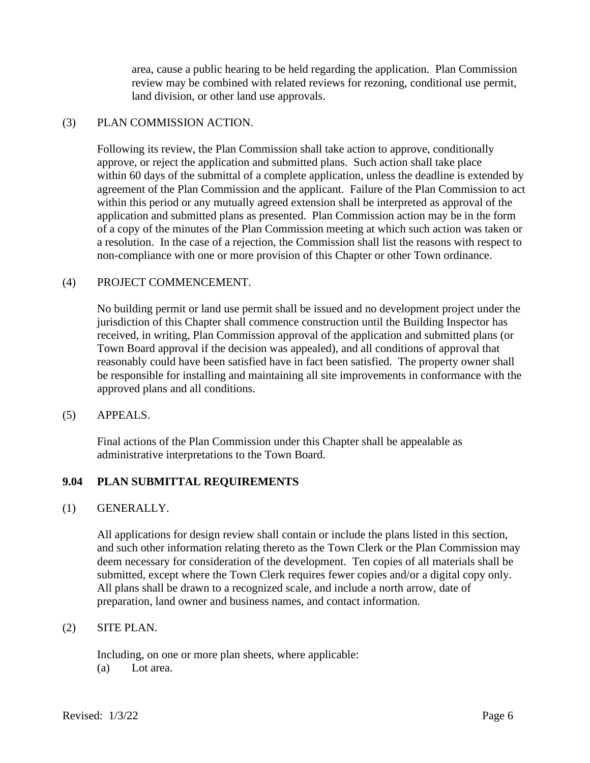area, cause a public hearing to be held regarding the application. Plan Commission review may be combined with related reviews for rezoning, conditional use permit, land division, or other land use approvals.

## (3) PLAN COMMISSION ACTION.

Following its review, the Plan Commission shall take action to approve, conditionally approve, or reject the application and submitted plans. Such action shall take place within 60 days of the submittal of a complete application, unless the deadline is extended by agreement of the Plan Commission and the applicant. Failure of the Plan Commission to act within this period or any mutually agreed extension shall be interpreted as approval of the application and submitted plans as presented. Plan Commission action may be in the form of a copy of the minutes of the Plan Commission meeting at which such action was taken or a resolution. In the case of a rejection, the Commission shall list the reasons with respect to non-compliance with one or more provision of this Chapter or other Town ordinance.

#### (4) PROJECT COMMENCEMENT.

No building permit or land use permit shall be issued and no development project under the jurisdiction of this Chapter shall commence construction until the Building Inspector has received, in writing, Plan Commission approval of the application and submitted plans (or Town Board approval if the decision was appealed), and all conditions of approval that reasonably could have been satisfied have in fact been satisfied. The property owner shall be responsible for installing and maintaining all site improvements in conformance with the approved plans and all conditions.

#### (5) APPEALS.

Final actions of the Plan Commission under this Chapter shall be appealable as administrative interpretations to the Town Board.

#### **9.04 PLAN SUBMITTAL REQUIREMENTS**

#### (1) GENERALLY.

All applications for design review shall contain or include the plans listed in this section, and such other information relating thereto as the Town Clerk or the Plan Commission may deem necessary for consideration of the development. Ten copies of all materials shall be submitted, except where the Town Clerk requires fewer copies and/or a digital copy only. All plans shall be drawn to a recognized scale, and include a north arrow, date of preparation, land owner and business names, and contact information.

#### (2) SITE PLAN.

Including, on one or more plan sheets, where applicable: (a) Lot area.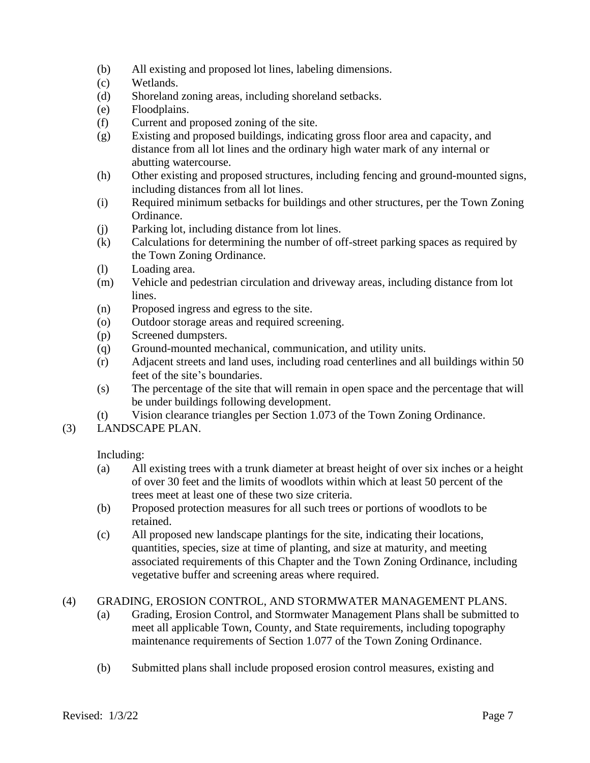- (b) All existing and proposed lot lines, labeling dimensions.
- (c) Wetlands.
- (d) Shoreland zoning areas, including shoreland setbacks.
- (e) Floodplains.
- (f) Current and proposed zoning of the site.
- (g) Existing and proposed buildings, indicating gross floor area and capacity, and distance from all lot lines and the ordinary high water mark of any internal or abutting watercourse.
- (h) Other existing and proposed structures, including fencing and ground-mounted signs, including distances from all lot lines.
- (i) Required minimum setbacks for buildings and other structures, per the Town Zoning Ordinance.
- (j) Parking lot, including distance from lot lines.
- (k) Calculations for determining the number of off-street parking spaces as required by the Town Zoning Ordinance.
- (l) Loading area.
- (m) Vehicle and pedestrian circulation and driveway areas, including distance from lot lines.
- (n) Proposed ingress and egress to the site.
- (o) Outdoor storage areas and required screening.
- (p) Screened dumpsters.
- (q) Ground-mounted mechanical, communication, and utility units.
- (r) Adjacent streets and land uses, including road centerlines and all buildings within 50 feet of the site's boundaries.
- (s) The percentage of the site that will remain in open space and the percentage that will be under buildings following development.
- (t) Vision clearance triangles per Section 1.073 of the Town Zoning Ordinance.
- (3) LANDSCAPE PLAN.

Including:

- (a) All existing trees with a trunk diameter at breast height of over six inches or a height of over 30 feet and the limits of woodlots within which at least 50 percent of the trees meet at least one of these two size criteria.
- (b) Proposed protection measures for all such trees or portions of woodlots to be retained.
- (c) All proposed new landscape plantings for the site, indicating their locations, quantities, species, size at time of planting, and size at maturity, and meeting associated requirements of this Chapter and the Town Zoning Ordinance, including vegetative buffer and screening areas where required.

#### (4) GRADING, EROSION CONTROL, AND STORMWATER MANAGEMENT PLANS.

- (a) Grading, Erosion Control, and Stormwater Management Plans shall be submitted to meet all applicable Town, County, and State requirements, including topography maintenance requirements of Section 1.077 of the Town Zoning Ordinance.
- (b) Submitted plans shall include proposed erosion control measures, existing and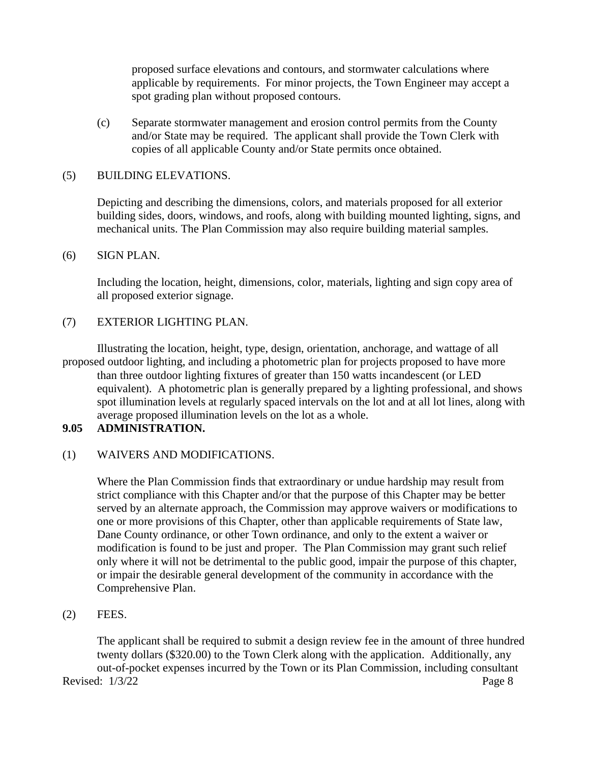proposed surface elevations and contours, and stormwater calculations where applicable by requirements. For minor projects, the Town Engineer may accept a spot grading plan without proposed contours.

(c) Separate stormwater management and erosion control permits from the County and/or State may be required. The applicant shall provide the Town Clerk with copies of all applicable County and/or State permits once obtained.

### (5) BUILDING ELEVATIONS.

Depicting and describing the dimensions, colors, and materials proposed for all exterior building sides, doors, windows, and roofs, along with building mounted lighting, signs, and mechanical units. The Plan Commission may also require building material samples.

#### (6) SIGN PLAN.

Including the location, height, dimensions, color, materials, lighting and sign copy area of all proposed exterior signage.

## (7) EXTERIOR LIGHTING PLAN.

Illustrating the location, height, type, design, orientation, anchorage, and wattage of all proposed outdoor lighting, and including a photometric plan for projects proposed to have more than three outdoor lighting fixtures of greater than 150 watts incandescent (or LED equivalent). A photometric plan is generally prepared by a lighting professional, and shows spot illumination levels at regularly spaced intervals on the lot and at all lot lines, along with average proposed illumination levels on the lot as a whole.

### **9.05 ADMINISTRATION.**

# (1) WAIVERS AND MODIFICATIONS.

Where the Plan Commission finds that extraordinary or undue hardship may result from strict compliance with this Chapter and/or that the purpose of this Chapter may be better served by an alternate approach, the Commission may approve waivers or modifications to one or more provisions of this Chapter, other than applicable requirements of State law, Dane County ordinance, or other Town ordinance, and only to the extent a waiver or modification is found to be just and proper. The Plan Commission may grant such relief only where it will not be detrimental to the public good, impair the purpose of this chapter, or impair the desirable general development of the community in accordance with the Comprehensive Plan.

## (2) FEES.

Revised:  $1/3/22$  Page 8 The applicant shall be required to submit a design review fee in the amount of three hundred twenty dollars (\$320.00) to the Town Clerk along with the application. Additionally, any out-of-pocket expenses incurred by the Town or its Plan Commission, including consultant